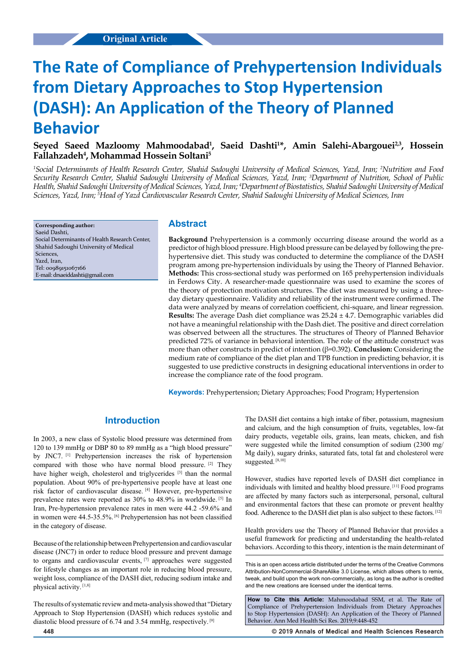# **The Rate of Compliance of Prehypertension Individuals from Dietary Approaches to Stop Hypertension (DASH): An Application of the Theory of Planned Behavior**

**Seyed Saeed Mazloomy Mahmoodabad1 , Saeid Dashti1 \*, Amin Salehi-Abargouei2,3, Hossein Fallahzadeh4 , Mohammad Hossein Soltani5**

*1 Social Determinants of Health Research Center, Shahid Sadoughi University of Medical Sciences, Yazd, Iran; 2 Nutrition and Food Security Research Center, Shahid Sadoughi University of Medical Sciences, Yazd, Iran; 3 Department of Nutrition, School of Public Health, Shahid Sadoughi University of Medical Sciences, Yazd, Iran; 4 Department of Biostatistics, Shahid Sadoughi University of Medical Sciences, Yazd, Iran; 5 Head of Yazd Cardiovascular Research Center, Shahid Sadoughi University of Medical Sciences, Iran*

**Corresponding author:** Saeid Dashti, Social Determinants of Health Research Center, Shahid Sadoughi University of Medical Sciences, Yazd, Iran, Tel: 00989151067166 E-mail: drsaeiddashti@gmail.com

#### **Abstract**

**Background** Prehypertension is a commonly occurring disease around the world as a predictor of high blood pressure. High blood pressure can be delayed by following the prehypertensive diet. This study was conducted to determine the compliance of the DASH program among pre-hypertension individuals by using the Theory of Planned Behavior. **Methods:** This cross-sectional study was performed on 165 prehypertension individuals in Ferdows City. A researcher-made questionnaire was used to examine the scores of the theory of protection motivation structures. The diet was measured by using a threeday dietary questionnaire. Validity and reliability of the instrument were confirmed. The data were analyzed by means of correlation coefficient, chi-square, and linear regression. **Results:** The average Dash diet compliance was 25.24 ± 4.7. Demographic variables did not have a meaningful relationship with the Dash diet. The positive and direct correlation was observed between all the structures. The structures of Theory of Planned Behavior predicted 72% of variance in behavioral intention. The role of the attitude construct was more than other constructs in predict of intention (β=0.392). **Conclusion:** Considering the medium rate of compliance of the diet plan and TPB function in predicting behavior, it is suggested to use predictive constructs in designing educational interventions in order to increase the compliance rate of the food program.

**Keywords:** Prehypertension; Dietary Approaches; Food Program; Hypertension

## **Introduction**

In 2003, a new class of Systolic blood pressure was determined from 120 to 139 mmHg or DBP 80 to 89 mmHg as a "high blood pressure" by JNC7. [1] Prehypertension increases the risk of hypertension compared with those who have normal blood pressure. [2] They have higher weigh, cholesterol and triglycerides [3] than the normal population. About 90% of pre-hypertensive people have at least one risk factor of cardiovascular disease. [4] However, pre-hypertensive prevalence rates were reported as 30% to 48.9% in worldwide. [5] In Iran, Pre-hypertension prevalence rates in men were 44.2 -59.6% and in women were 44.5-35.5%. [6] Prehypertension has not been classified in the category of disease.

Because of the relationship between Prehypertension and cardiovascular disease (JNC7) in order to reduce blood pressure and prevent damage to organs and cardiovascular events, [7] approaches were suggested for lifestyle changes as an important role in reducing blood pressure, weight loss, compliance of the DASH diet, reducing sodium intake and physical activity. [1,8]

The results of systematic review and meta-analysis showed that "Dietary Approach to Stop Hypertension (DASH) which reduces systolic and diastolic blood pressure of 6.74 and 3.54 mmHg, respectively. [9]

The DASH diet contains a high intake of fiber, potassium, magnesium and calcium, and the high consumption of fruits, vegetables, low-fat dairy products, vegetable oils, grains, lean meats, chicken, and fish were suggested while the limited consumption of sodium (2300 mg/ Mg daily), sugary drinks, saturated fats, total fat and cholesterol were suggested. [8,10]

However, studies have reported levels of DASH diet compliance in individuals with limited and healthy blood pressure. [11] Food programs are affected by many factors such as interpersonal, personal, cultural and environmental factors that these can promote or prevent healthy food. Adherence to the DASH diet plan is also subject to these factors. [12]

Health providers use the Theory of Planned Behavior that provides a useful framework for predicting and understanding the health-related behaviors. According to this theory, intention is the main determinant of

**How to Cite this Article:** Mahmoodabad SSM, et al. The Rate of Compliance of Prehypertension Individuals from Dietary Approaches to Stop Hypertension (DASH): An Application of the Theory of Planned Behavior. Ann Med Health Sci Res. 2019;9:448-452

**448 © 2019 Annals of Medical and Health Sciences Research** 

This is an open access article distributed under the terms of the Creative Commons Attribution-NonCommercial-ShareAlike 3.0 License, which allows others to remix, tweak, and build upon the work non‑commercially, as long as the author is credited and the new creations are licensed under the identical terms.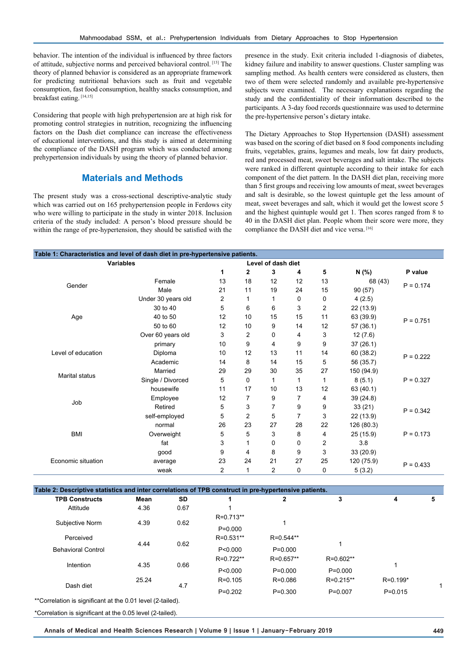behavior. The intention of the individual is influenced by three factors of attitude, subjective norms and perceived behavioral control. [13] The theory of planned behavior is considered as an appropriate framework for predicting nutritional behaviors such as fruit and vegetable consumption, fast food consumption, healthy snacks consumption, and breakfast eating. [14,15]

Considering that people with high prehypertension are at high risk for promoting control strategies in nutrition, recognizing the influencing factors on the Dash diet compliance can increase the effectiveness of educational interventions, and this study is aimed at determining the compliance of the DASH program which was conducted among prehypertension individuals by using the theory of planned behavior.

## **Materials and Methods**

The present study was a cross-sectional descriptive-analytic study which was carried out on 165 prehypertension people in Ferdows city who were willing to participate in the study in winter 2018. Inclusion criteria of the study included: A person's blood pressure should be within the range of pre-hypertension, they should be satisfied with the presence in the study. Exit criteria included 1-diagnosis of diabetes, kidney failure and inability to answer questions. Cluster sampling was sampling method. As health centers were considered as clusters, then two of them were selected randomly and available pre-hypertensive subjects were examined. The necessary explanations regarding the study and the confidentiality of their information described to the participants. A 3-day food records questionnaire was used to determine the pre-hypertensive person's dietary intake.

The Dietary Approaches to Stop Hypertension (DASH) assessment was based on the scoring of diet based on 8 food components including fruits, vegetables, grains, legumes and meals, low fat dairy products, red and processed meat, sweet beverages and salt intake. The subjects were ranked in different quintuple according to their intake for each component of the diet pattern. In the DASH diet plan, receiving more than 5 first groups and receiving low amounts of meat, sweet beverages and salt is desirable, so the lowest quintuple get the less amount of meat, sweet beverages and salt, which it would get the lowest score 5 and the highest quintuple would get 1. Then scores ranged from 8 to 40 in the DASH diet plan. People whom their score were more, they compliance the DASH diet and vice versa. [16]

| Table 1: Characteristics and level of dash diet in pre-hypertensive patients. |                    |                    |                |                |    |                |            |             |  |
|-------------------------------------------------------------------------------|--------------------|--------------------|----------------|----------------|----|----------------|------------|-------------|--|
|                                                                               | <b>Variables</b>   | Level of dash diet |                |                |    |                |            |             |  |
|                                                                               |                    | 1                  | 2              | 3              | 4  | 5              | N (%)      | P value     |  |
| Gender                                                                        | Female             | 13                 | 18             | 12             | 12 | 13             | 68 (43)    | $P = 0.174$ |  |
|                                                                               | Male               | 21                 | 11             | 19             | 24 | 15             | 90(57)     |             |  |
|                                                                               | Under 30 years old | 2                  | $\mathbf{1}$   | 1              | 0  | 0              | 4(2.5)     |             |  |
|                                                                               | 30 to 40           | 5                  | 6              | 6              | 3  | 2              | 22 (13.9)  |             |  |
| Age                                                                           | 40 to 50           | 12                 | 10             | 15             | 15 | 11             | 63 (39.9)  | $P = 0.751$ |  |
|                                                                               | 50 to 60           | 12                 | 10             | 9              | 14 | 12             | 57(36.1)   |             |  |
|                                                                               | Over 60 years old  | 3                  | $\overline{c}$ | 0              | 4  | 3              | 12(7.6)    |             |  |
|                                                                               | primary            | 10                 | 9              | 4              | 9  | 9              | 37(26.1)   | $P = 0.222$ |  |
| Level of education                                                            | Diploma            | 10                 | 12             | 13             | 11 | 14             | 60 (38.2)  |             |  |
|                                                                               | Academic           | 14                 | 8              | 14             | 15 | 5              | 56 (35.7)  |             |  |
| <b>Marital status</b>                                                         | Married            | 29                 | 29             | 30             | 35 | 27             | 150 (94.9) |             |  |
|                                                                               | Single / Divorced  | 5                  | 0              | 1              | 1  | 1              | 8(5.1)     | $P = 0.327$ |  |
|                                                                               | housewife          | 11                 | 17             | 10             | 13 | 12             | 63 (40.1)  |             |  |
| Job                                                                           | Employee           | 12                 | 7              | 9              | 7  | 4              | 39(24.8)   | $P = 0.342$ |  |
|                                                                               | Retired            | 5                  | 3              | $\overline{7}$ | 9  | 9              | 33(21)     |             |  |
|                                                                               | self-employed      | 5                  | $\overline{2}$ | 5              | 7  | 3              | 22 (13.9)  |             |  |
| <b>BMI</b>                                                                    | normal             | 26                 | 23             | 27             | 28 | 22             | 126 (80.3) | $P = 0.173$ |  |
|                                                                               | Overweight         | 5                  | 5              | 3              | 8  | $\overline{4}$ | 25 (15.9)  |             |  |
|                                                                               | fat                | 3                  | 1              | $\Omega$       | 0  | 2              | 3.8        |             |  |
|                                                                               | good               | 9                  | 4              | 8              | 9  | 3              | 33(20.9)   |             |  |
| Economic situation                                                            | average            | 23                 | 24             | 21             | 27 | 25             | 120 (75.9) | $P = 0.433$ |  |
|                                                                               | weak               | 2                  | 1              | $\overline{c}$ | 0  | 0              | 5(3.2)     |             |  |

| <b>TPB Constructs</b>     | Mean  | <b>SD</b> |             | 2             | 3           | 4            | 5 |
|---------------------------|-------|-----------|-------------|---------------|-------------|--------------|---|
| Attitude                  | 4.36  | 0.67      |             |               |             |              |   |
| Subjective Norm           | 4.39  | 0.62      | R=0.713**   |               |             |              |   |
|                           |       |           | $P=0.000$   |               |             |              |   |
| Perceived                 |       |           | R=0.531**   | R=0.544**     |             |              |   |
| <b>Behavioral Control</b> | 4.44  | 0.62      | P < 0.000   | $P=0.000$     |             |              |   |
| Intention                 |       |           | $R=0.722**$ | $R = 0.657**$ | R=0.602**   | 1            |   |
|                           | 4.35  | 0.66      | P < 0.000   | $P=0.000$     | $P = 0.000$ |              |   |
| Dash diet                 | 25.24 |           | $R = 0.105$ | $R = 0.086$   | R=0.215**   | $R = 0.199*$ |   |
|                           | 4.7   |           | $P=0.202$   | $P = 0.300$   | $P=0.007$   | $P = 0.015$  |   |

\*Correlation is significant at the 0.05 level (2-tailed).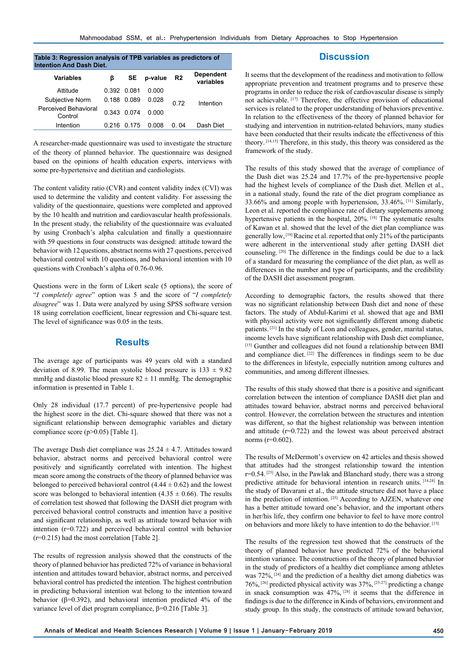| Table 3: Regression analysis of TPB variables as predictors of<br><b>Intention And Dash Diet.</b> |             |           |         |                |                               |  |  |  |  |
|---------------------------------------------------------------------------------------------------|-------------|-----------|---------|----------------|-------------------------------|--|--|--|--|
| Variables                                                                                         | ß           | <b>SE</b> | p-value | R <sub>2</sub> | <b>Dependent</b><br>variables |  |  |  |  |
| Attitude                                                                                          | 0.392 0.081 |           | 0.000   |                |                               |  |  |  |  |
| Subjective Norm                                                                                   | 0.188       | 0.089     | 0.028   | 0.72           | Intention                     |  |  |  |  |
| Perceived Behavioral<br>Control                                                                   | 0.343       | 0 074     | 0.000   |                |                               |  |  |  |  |
| Intention                                                                                         | 0.216       | 0 175     | n nnr   | N N4           | Dash Diet                     |  |  |  |  |

A researcher-made questionnaire was used to investigate the structure of the theory of planned behavior. The questionnaire was designed based on the opinions of health education experts, interviews with some pre-hypertensive and dietitian and cardiologists.

The content validity ratio (CVR) and content validity index (CVI) was used to determine the validity and content validity. For assessing the validity of the questionnaire, questions were completed and approved by the 10 health and nutrition and cardiovascular health professionals. In the present study, the reliability of the questionnaire was evaluated by using Cronbach's alpha calculation and finally a questionnaire with 59 questions in four constructs was designed: attitude toward the behavior with 12 questions, abstract norms with 27 questions, perceived behavioral control with 10 questions, and behavioral intention with 10 questions with Cronbach's alpha of 0.76-0.96.

Questions were in the form of Likert scale (5 options), the score of "*I completely agree*" option was 5 and the score of "*I completely disagree*" was 1. Data were analyzed by using SPSS software version 18 using correlation coefficient, linear regression and Chi-square test. The level of significance was 0.05 in the tests.

## **Results**

The average age of participants was 49 years old with a standard deviation of 8.99. The mean systolic blood pressure is  $133 \pm 9.82$ mmHg and diastolic blood pressure  $82 \pm 11$  mmHg. The demographic information is presented in Table 1.

Only 28 individual (17.7 percent) of pre-hypertensive people had the highest score in the diet. Chi-square showed that there was not a significant relationship between demographic variables and dietary compliance score (p>0.05) [Table 1].

The average Dash diet compliance was  $25.24 \pm 4.7$ . Attitudes toward behavior, abstract norms and perceived behavioral control were positively and significantly correlated with intention. The highest mean score among the constructs of the theory of planned behavior was belonged to perceived behavioral control  $(4.44 \pm 0.62)$  and the lowest score was belonged to behavioral intention  $(4.35 \pm 0.66)$ . The results of correlation test showed that following the DASH diet program with perceived behavioral control constructs and intention have a positive and significant relationship, as well as attitude toward behavior with intention (r=0.722) and perceived behavioral control with behavior (r=0.215) had the most correlation [Table 2].

The results of regression analysis showed that the constructs of the theory of planned behavior has predicted 72% of variance in behavioral intention and attitudes toward behavior, abstract norms, and perceived behavioral control has predicted the intention. The highest contribution in predicting behavioral intention wat belong to the intention toward behavior ( $\beta$ =0.392), and behavioral intention predicted 4% of the variance level of diet program compliance, β=0.216 [Table 3].

It seems that the development of the readiness and motivation to follow appropriate prevention and treatment programs and to preserve these programs in order to reduce the risk of cardiovascular disease is simply not achievable. [17] Therefore, the effective provision of educational services is related to the proper understanding of behaviors preventive. In relation to the effectiveness of the theory of planned behavior for studying and intervention in nutrition-related behaviors, many studies have been conducted that their results indicate the effectiveness of this theory. [14,15] Therefore, in this study, this theory was considered as the framework of the study.

**Discussion**

The results of this study showed that the average of compliance of the Dash diet was 25.24 and 17.7% of the pre-hypertensive people had the highest levels of compliance of the Dash diet. Mellen et al., in a national study, found the rate of the diet program compliance as 33.66% and among people with hypertension, 33.46%. [11] Similarly, Leon et al. reported the compliance rate of dietary supplements among hypertensive patients in the hospital, 20%. [18] The systematic results of Kawan et al. showed that the level of the diet plan compliance was generally low, [19] Racine et al. reported that only 21% of the participants were adherent in the interventional study after getting DASH diet counseling. [20] The difference in the findings could be due to a lack of a standard for measuring the compliance of the diet plan, as well as differences in the number and type of participants, and the credibility of the DASH diet assessment program.

According to demographic factors, the results showed that there was no significant relationship between Dash diet and none of these factors. The study of Abdul-Karimi et al. showed that age and BMI with physical activity were not significantly different among diabetic patients. [21] In the study of Leon and colleagues, gender, marital status, income levels have significant relationship with Dash diet compliance, [15] Gunther and colleagues did not found a relationship between BMI and compliance diet. <sup>[22]</sup> The differences in findings seem to be due to the differences in lifestyle, especially nutrition among cultures and communities, and among different illnesses.

The results of this study showed that there is a positive and significant correlation between the intention of compliance DASH diet plan and attitudes toward behavior, abstract norms and perceived behavioral control. However, the correlation between the structures and intention was different, so that the highest relationship was between intention and attitude (r=0.722) and the lowest was about perceived abstract norms (r=0.602).

The results of McDermott's overview on 42 articles and thesis showed that attitudes had the strongest relationship toward the intention r=0.54. [23] Also, in the Pawlak and Blanchard study, there was a strong predictive attitude for behavioral intention in research units. [14,24] In the study of Davarani et al., the attitude structure did not have a place in the prediction of intention. [25] According to AJZEN, whatever one has a better attitude toward one's behavior, and the important others in her/his life, they confirm one behavior to feel to have more control on behaviors and more likely to have intention to do the behavior. [13]

The results of the regression test showed that the constructs of the theory of planned behavior have predicted 72% of the behavioral intention variance. The constructions of the theory of planned behavior in the study of predictors of a healthy diet compliance among athletes was 72%, [24] and the prediction of a healthy diet among diabetics was 76%, [26] predicted physical activity was 37%, [25-27] predicting a change in snack consumption was  $47\%$ ,  $[28]$  it seems that the difference in findings is due to the difference in Kinds of behaviors, environment and study group. In this study, the constructs of attitude toward behavior,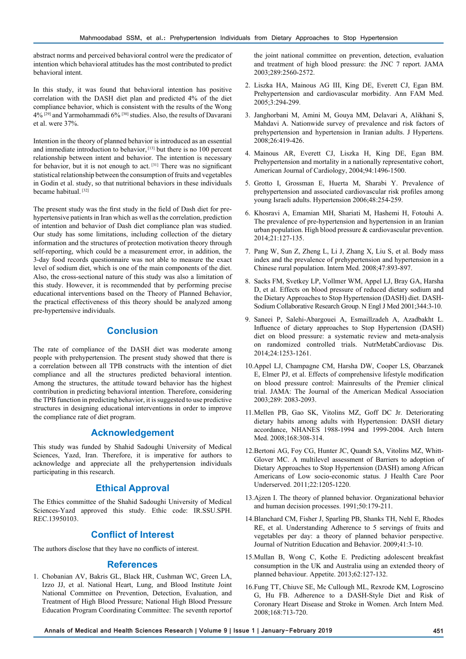abstract norms and perceived behavioral control were the predicator of intention which behavioral attitudes has the most contributed to predict behavioral intent.

In this study, it was found that behavioral intention has positive correlation with the DASH diet plan and predicted 4% of the diet compliance behavior, which is consistent with the results of the Wong 4% [29] and Yarmohammadi 6% [30] studies. Also, the results of Davarani et al. were 37%.

Intention in the theory of planned behavior is introduced as an essential and immediate introduction to behavior, [13] but there is no 100 percent relationship between intent and behavior. The intention is necessary for behavior, but it is not enough to act.<sup>[31]</sup> There was no significant statistical relationship between the consumption of fruits and vegetables in Godin et al. study, so that nutritional behaviors in these individuals became habitual.<sup>[32]</sup>

The present study was the first study in the field of Dash diet for prehypertensive patients in Iran which as well as the correlation, prediction of intention and behavior of Dash diet compliance plan was studied. Our study has some limitations, including collection of the dietary information and the structures of protection motivation theory through self-reporting, which could be a measurement error, in addition, the 3-day food records questionnaire was not able to measure the exact level of sodium diet, which is one of the main components of the diet. Also, the cross-sectional nature of this study was also a limitation of this study. However, it is recommended that by performing precise educational interventions based on the Theory of Planned Behavior, the practical effectiveness of this theory should be analyzed among pre-hypertensive individuals.

## **Conclusion**

The rate of compliance of the DASH diet was moderate among people with prehypertension. The present study showed that there is a correlation between all TPB constructs with the intention of diet compliance and all the structures predicted behavioral intention. Among the structures, the attitude toward behavior has the highest contribution in predicting behavioral intention. Therefore, considering the TPB function in predicting behavior, it is suggested to use predictive structures in designing educational interventions in order to improve the compliance rate of diet program.

## **Acknowledgement**

This study was funded by Shahid Sadoughi University of Medical Sciences, Yazd, Iran. Therefore, it is imperative for authors to acknowledge and appreciate all the prehypertension individuals participating in this research.

## **Ethical Approval**

The Ethics committee of the Shahid Sadoughi University of Medical Sciences-Yazd approved this study. Ethic code: IR.SSU.SPH. REC.13950103.

# **Conflict of Interest**

The authors disclose that they have no conflicts of interest.

#### **References**

1. Chobanian AV, Bakris GL, Black HR, Cushman WC, Green LA, Izzo JJ, et al. National Heart, Lung, and Blood Institute Joint National Committee on Prevention, Detection, Evaluation, and Treatment of High Blood Pressure; National High Blood Pressure Education Program Coordinating Committee: The seventh reportof the joint national committee on prevention, detection, evaluation and treatment of high blood pressure: the JNC 7 report. JAMA 2003;289:2560-2572.

- 2. Liszka HA, Mainous AG III, King DE, Everett CJ, Egan BM. Prehypertension and cardiovascular morbidity. Ann FAM Med. 2005;3:294-299.
- 3. Janghorbani M, Amini M, Gouya MM, Delavari A, Alikhani S, Mahdavi A. Nationwide survey of prevalence and risk factors of prehypertension and hypertension in Iranian adults. J Hypertens. 2008;26:419-426.
- 4. Mainous AR, Everett CJ, Liszka H, King DE, Egan BM. Prehypertension and mortality in a nationally representative cohort, American Journal of Cardiology, 2004;94:1496-1500.
- 5. Grotto I, Grossman E, Huerta M, Sharabi Y. Prevalence of prehypertension and associated cardiovascular risk profiles among young Israeli adults. Hypertension 2006;48:254-259.
- 6. Khosravi A, Emamian MH, Shariati M, Hashemi H, Fotouhi A. The prevalence of pre-hypertension and hypertension in an Iranian urban population. High blood pressure & cardiovascular prevention. 2014;21:127-135.
- 7. Pang W, Sun Z, Zheng L, Li J, Zhang X, Liu S, et al. Body mass index and the prevalence of prehypertension and hypertension in a Chinese rural population. Intern Med. 2008;47:893-897.
- 8. Sacks FM, Svetkey LP, Vollmer WM, Appel LJ, Bray GA, Harsha D, et al. Effects on blood pressure of reduced dietary sodium and the Dietary Approaches to Stop Hypertension (DASH) diet. DASH-Sodium Collaborative Research Group. N Engl J Med 2001;344:3-10.
- 9. Saneei P, Salehi-Abargouei A, Esmaillzadeh A, Azadbakht L. Influence of dietary approaches to Stop Hypertension (DASH) diet on blood pressure: a systematic review and meta-analysis on randomized controlled trials. NutrMetabCardiovasc Dis. 2014;24:1253-1261.
- 10.Appel LJ, Champagne CM, Harsha DW, Cooper LS, Obarzanek E, Elmer PJ, et al. Effects of comprehensive lifestyle modification on blood pressure control: Mainresults of the Premier clinical trial. JAMA: The Journal of the American Medical Association 2003;289: 2083-2093.
- 11.Mellen PB, Gao SK, Vitolins MZ, Goff DC Jr. Deteriorating dietary habits among adults with Hypertension: DASH dietary accordance, NHANES 1988-1994 and 1999-2004. Arch Intern Med. 2008;168:308-314.
- 12.Bertoni AG, Foy CG, Hunter JC, Quandt SA, Vitolins MZ, Whitt-Glover MC. A multilevel assessment of Barriers to adoption of Dietary Approaches to Stop Hypertension (DASH) among African Americans of Low socio-economic status. J Health Care Poor Underserved. 2011;22:1205-1220.
- 13.Ajzen I. The theory of planned behavior. Organizational behavior and human decision processes. 1991;50:179-211.
- 14.Blanchard CM, Fisher J, Sparling PB, Shanks TH, Nehl E, Rhodes RE, et al. Understanding Adherence to 5 servings of fruits and vegetables per day: a theory of planned behavior perspective. Journal of Nutrition Education and Behavior. 2009;41:3-10.
- 15.Mullan B, Wong C, Kothe E. Predicting adolescent breakfast consumption in the UK and Australia using an extended theory of planned behaviour. Appetite. 2013;62:127-132.
- 16.Fung TT, Chiuve SE, Mc Cullough ML, Rexrode KM, Logroscino G, Hu FB. Adherence to a DASH-Style Diet and Risk of Coronary Heart Disease and Stroke in Women. Arch Intern Med. 2008;168:713-720.